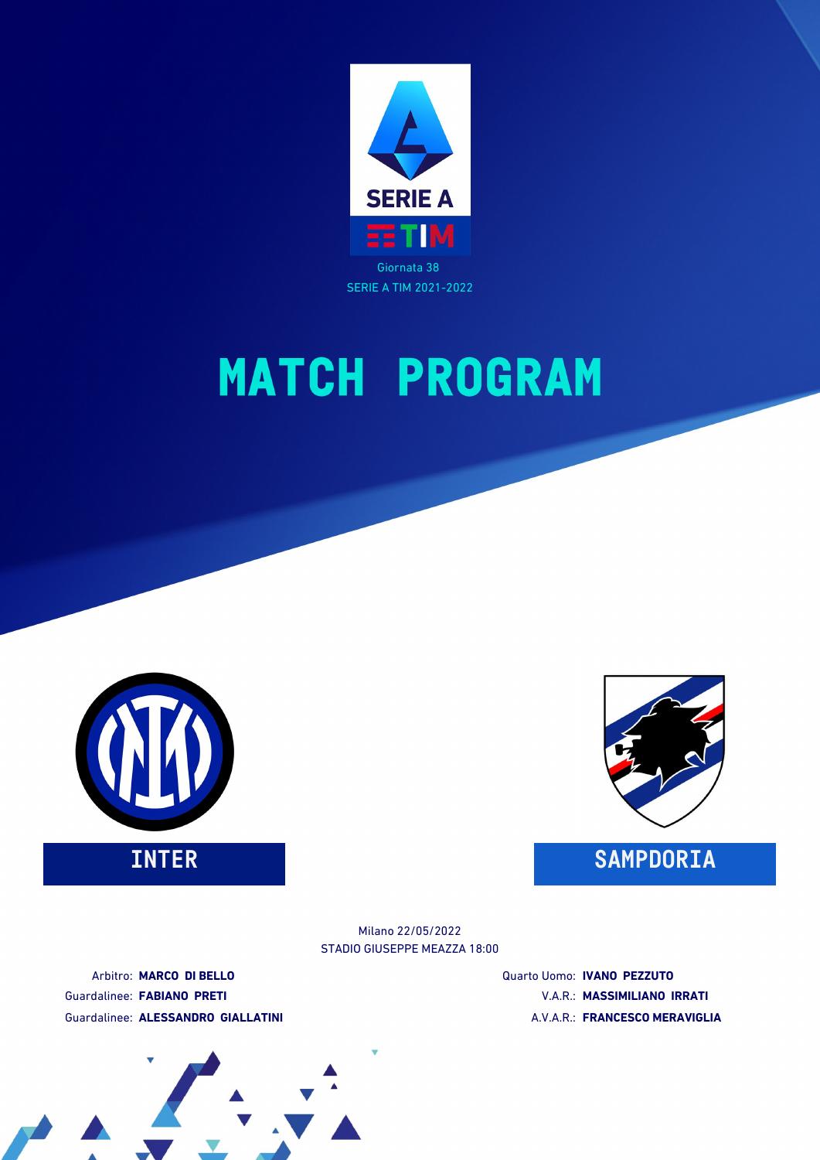





STADIO GIUSEPPE MEAZZA 18:00 Milano 22/05/2022

Arbitro: **MARCO DI BELLO** Guardalinee: **FABIANO PRETI** Guardalinee: **ALESSANDRO GIALLATINI** Quarto Uomo: **IVANO PEZZUTO** V.A.R.: **MASSIMILIANO IRRATI** A.V.A.R.: **FRANCESCO MERAVIGLIA**

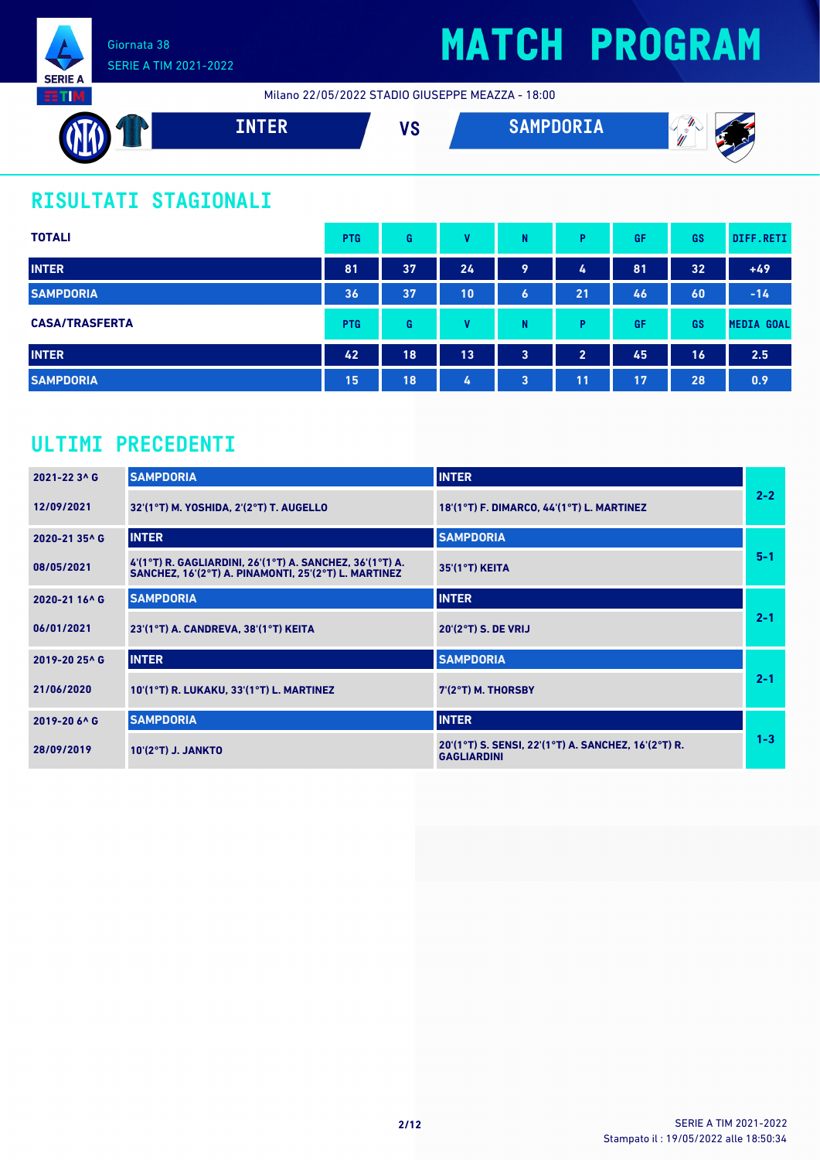

Milano 22/05/2022 STADIO GIUSEPPE MEAZZA - 18:00



## **RISULTATI STAGIONALI**

| <b>TOTALI</b>         | <b>PTG</b> | G  | v  | N | P              | GF | <b>GS</b> | DIFF.RETI         |
|-----------------------|------------|----|----|---|----------------|----|-----------|-------------------|
| <b>INTER</b>          | 81         | 37 | 24 | 9 | 4              | 81 | 32        | $+49$             |
| <b>SAMPDORIA</b>      | 36         | 37 | 10 | 6 | 21             | 46 | 60        | $-14$             |
| <b>CASA/TRASFERTA</b> | <b>PTG</b> | G  | v  | N | P              | GF | GS        | <b>MEDIA GOAL</b> |
| <b>INTER</b>          | 42         | 18 | 13 | 3 | $\overline{2}$ | 45 | 16        | 2.5               |
| <b>SAMPDORIA</b>      | 15         | 18 | 4  | 3 | 11             | 17 | 28        | 0.9               |

### **ULTIMI PRECEDENTI**

| 2021-22 3^ G  | <b>SAMPDORIA</b>                                                                                                 | <b>INTER</b>                                                              |         |
|---------------|------------------------------------------------------------------------------------------------------------------|---------------------------------------------------------------------------|---------|
| 12/09/2021    | 32'(1°T) M. YOSHIDA, 2'(2°T) T. AUGELLO                                                                          | 18'(1°T) F. DIMARCO, 44'(1°T) L. MARTINEZ                                 | $2 - 2$ |
| 2020-21 35^ G | <b>INTER</b>                                                                                                     | <b>SAMPDORIA</b>                                                          |         |
| 08/05/2021    | 4'(1°T) R. GAGLIARDINI, 26'(1°T) A. SANCHEZ, 36'(1°T) A.<br>SANCHEZ, 16'(2°T) A. PINAMONTI, 25'(2°T) L. MARTINEZ | 35'(1°T) KEITA                                                            | $5 - 1$ |
| 2020-21 16^ G | <b>SAMPDORIA</b>                                                                                                 | <b>INTER</b>                                                              |         |
| 06/01/2021    | 23'(1°T) A. CANDREVA, 38'(1°T) KEITA                                                                             | 20'(2°T) S. DE VRIJ                                                       | $2 - 1$ |
| 2019-20 25^ G | <b>INTER</b>                                                                                                     | <b>SAMPDORIA</b>                                                          |         |
| 21/06/2020    | 10'(1°T) R. LUKAKU, 33'(1°T) L. MARTINEZ                                                                         | $7(2°T)$ M. THORSBY                                                       | $2 - 1$ |
| 2019-20 6^ G  | <b>SAMPDORIA</b>                                                                                                 | <b>INTER</b>                                                              |         |
| 28/09/2019    | $10'(2°T)$ J. JANKTO                                                                                             | 20'(1°T) S. SENSI, 22'(1°T) A. SANCHEZ, 16'(2°T) R.<br><b>GAGLIARDINI</b> | $1 - 3$ |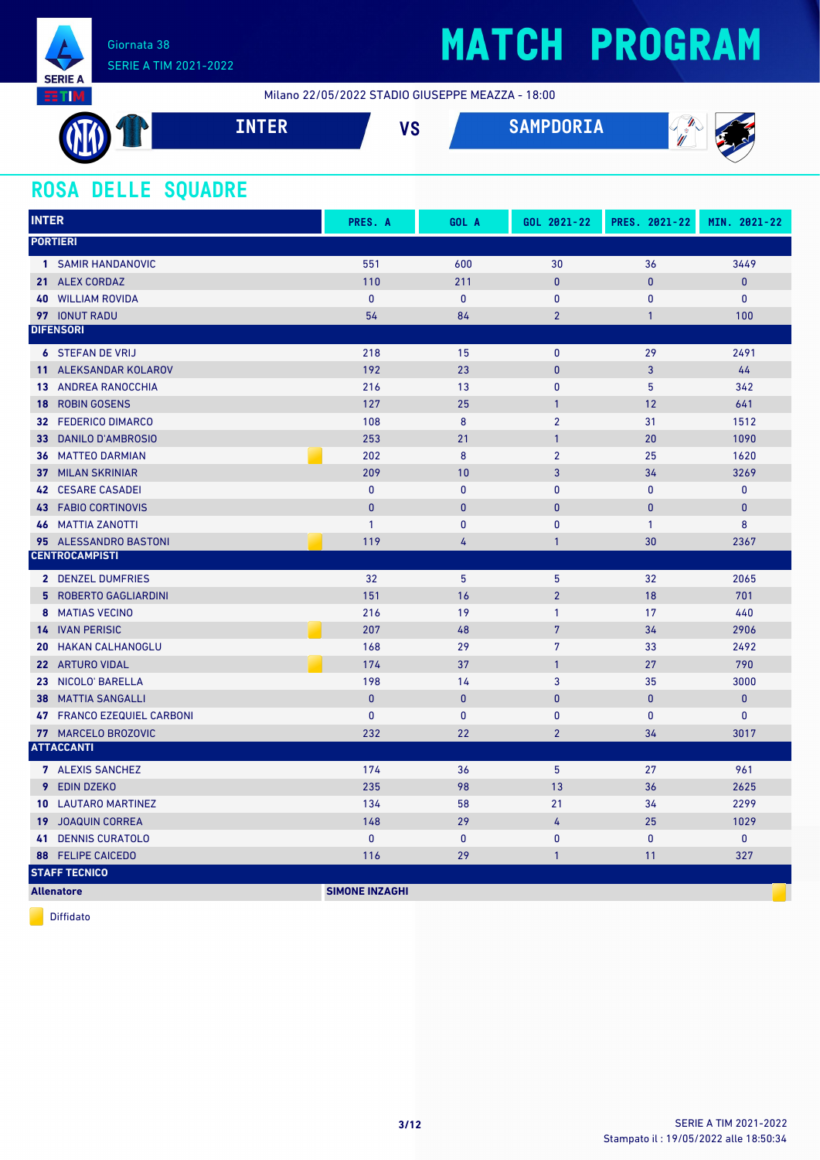

Milano 22/05/2022 STADIO GIUSEPPE MEAZZA - 18:00

|      | ___<br>------ | $\mathbf{u}$<br>I.C | $\mathbf{A} \mathbf{A} \mathbf{A}$<br>SAMPUUKIA | ×<br>W<br>a |
|------|---------------|---------------------|-------------------------------------------------|-------------|
| ____ |               |                     |                                                 |             |

### **ROSA DELLE SQUADRE**

| <b>INTER</b>                   | PRES. A               | GOL A        | GOL 2021-22    | PRES. 2021-22  | MIN. 2021-22 |
|--------------------------------|-----------------------|--------------|----------------|----------------|--------------|
| <b>PORTIERI</b>                |                       |              |                |                |              |
| 1 SAMIR HANDANOVIC             | 551                   | 600          | 30             | 36             | 3449         |
| 21 ALEX CORDAZ                 | 110                   | 211          | $\mathbf{0}$   | $\mathbf{0}$   | $\pmb{0}$    |
| <b>WILLIAM ROVIDA</b><br>40    | $\mathbf{0}$          | $\mathbf{0}$ | 0              | $\mathbf{0}$   | $\mathbf{0}$ |
| 97 IONUT RADU                  | 54                    | 84           | $\overline{2}$ | $\mathbf{1}$   | 100          |
| <b>DIFENSORI</b>               |                       |              |                |                |              |
| <b>6 STEFAN DE VRIJ</b>        | 218                   | 15           | $\mathbf 0$    | 29             | 2491         |
| 11 ALEKSANDAR KOLAROV          | 192                   | 23           | $\pmb{0}$      | 3              | 44           |
| <b>13 ANDREA RANOCCHIA</b>     | 216                   | 13           | 0              | 5              | 342          |
| <b>ROBIN GOSENS</b><br>18      | 127                   | 25           | $\mathbf{1}$   | 12             | 641          |
| 32 FEDERICO DIMARCO            | 108                   | 8            | $\overline{2}$ | 31             | 1512         |
| <b>DANILO D'AMBROSIO</b><br>33 | 253                   | 21           | $\mathbf{1}$   | 20             | 1090         |
| <b>36 MATTEO DARMIAN</b>       | 202                   | 8            | $\overline{2}$ | 25             | 1620         |
| <b>37 MILAN SKRINIAR</b>       | 209                   | 10           | $\overline{3}$ | 34             | 3269         |
| <b>CESARE CASADEI</b><br>42    | $\pmb{0}$             | $\pmb{0}$    | $\mathbf{0}$   | $\mathbf{0}$   | $\pmb{0}$    |
| <b>43 FABIO CORTINOVIS</b>     | $\mathbf{0}$          | $\mathbf{0}$ | $\mathbf{0}$   | $\overline{0}$ | $\pmb{0}$    |
| <b>46 MATTIA ZANOTTI</b>       | $\mathbf{1}$          | $\mathbf{0}$ | $\mathbf{0}$   | $\mathbf{1}$   | 8            |
| 95 ALESSANDRO BASTONI          | 119                   | 4            | $\mathbf{1}$   | 30             | 2367         |
| <b>CENTROCAMPISTI</b>          |                       |              |                |                |              |
| 2 DENZEL DUMFRIES              | 32                    | 5            | 5              | 32             | 2065         |
| 5 ROBERTO GAGLIARDINI          | 151                   | 16           | $\overline{2}$ | 18             | 701          |
| 8 MATIAS VECINO                | 216                   | 19           | $\mathbf{1}$   | 17             | 440          |
| <b>14 IVAN PERISIC</b>         | 207                   | 48           | $\overline{7}$ | 34             | 2906         |
| <b>HAKAN CALHANOGLU</b><br>20  | 168                   | 29           | $\overline{7}$ | 33             | 2492         |
| 22 ARTURO VIDAL                | 174                   | 37           | $\mathbf{1}$   | 27             | 790          |
| 23 NICOLO' BARELLA             | 198                   | 14           | 3              | 35             | 3000         |
| <b>MATTIA SANGALLI</b><br>38   | $\mathbf{0}$          | $\mathbf{0}$ | $\mathbf{0}$   | $\mathbf{0}$   | $\pmb{0}$    |
| 47 FRANCO EZEQUIEL CARBONI     | $\mathbf{0}$          | $\mathbf{0}$ | $\pmb{0}$      | $\mathbf{0}$   | $\pmb{0}$    |
| 77 MARCELO BROZOVIC            | 232                   | 22           | $\overline{2}$ | 34             | 3017         |
| <b>ATTACCANTI</b>              |                       |              |                |                |              |
| 7 ALEXIS SANCHEZ               | 174                   | 36           | 5              | 27             | 961          |
| 9<br><b>EDIN DZEKO</b>         | 235                   | 98           | 13             | 36             | 2625         |
| <b>LAUTARO MARTINEZ</b><br>10  | 134                   | 58           | 21             | 34             | 2299         |
| <b>19 JOAQUIN CORREA</b>       | 148                   | 29           | 4              | 25             | 1029         |
| <b>DENNIS CURATOLO</b><br>41   | $\mathbf{0}$          | $\mathbf{0}$ | $\mathbf{0}$   | $\mathbf{0}$   | $\mathbf{0}$ |
| <b>FELIPE CAICEDO</b><br>88    | 116                   | 29           | $\mathbf{1}$   | 11             | 327          |
| <b>STAFF TECNICO</b>           |                       |              |                |                |              |
| <b>Allenatore</b>              | <b>SIMONE INZAGHI</b> |              |                |                |              |

Diffidato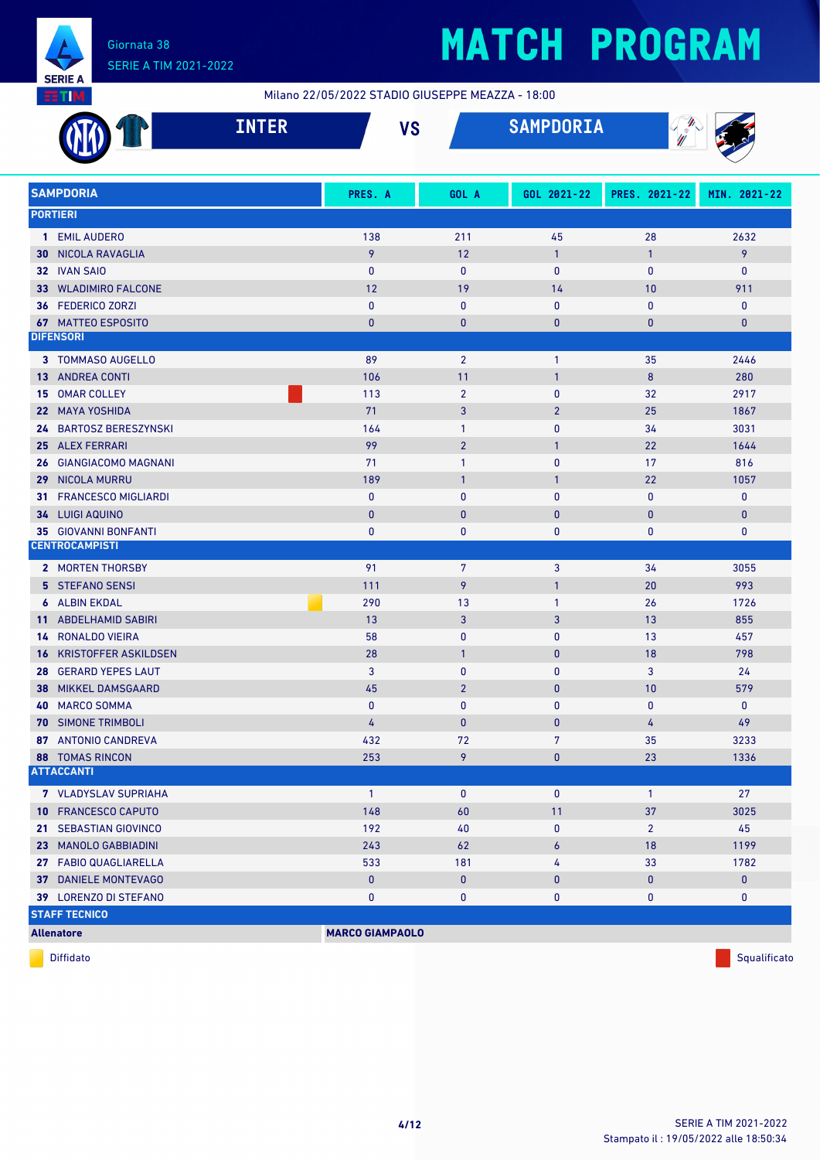

Milano 22/05/2022 STADIO GIUSEPPE MEAZZA - 18:00

|    | <b>INTER</b>                                | <b>VS</b>              |                | <b>SAMPDORIA</b> | $\mathbf{\mathbf{\#}}$<br>W |              |
|----|---------------------------------------------|------------------------|----------------|------------------|-----------------------------|--------------|
|    | <b>SAMPDORIA</b>                            | PRES. A                | GOL A          | GOL 2021-22      | PRES. 2021-22               | MIN. 2021-22 |
|    | <b>PORTIERI</b>                             |                        |                |                  |                             |              |
|    | 1 EMIL AUDERO                               | 138                    | 211            | 45               | 28                          | 2632         |
|    | <b>30 NICOLA RAVAGLIA</b>                   | 9                      | 12             | $\mathbf{1}$     | $\mathbf{1}$                | 9            |
|    | 32 IVAN SAIO                                | $\mathbf{0}$           | $\mathbf 0$    | $\mathbf{0}$     | $\mathbf{0}$                | 0            |
|    | <b>33 WLADIMIRO FALCONE</b>                 | 12                     | 19             | 14               | 10                          | 911          |
|    | 36 FEDERICO ZORZI                           | $\mathbf{0}$           | $\mathbf{0}$   | $\mathbf{0}$     | 0                           | $\pmb{0}$    |
|    | <b>67 MATTEO ESPOSITO</b>                   | $\bf{0}$               | $\mathbf{0}$   | $\mathbf{0}$     | 0                           | $\mathbf{0}$ |
|    | <b>DIFENSORI</b>                            |                        |                |                  |                             |              |
|    | 3 TOMMASO AUGELLO                           | 89                     | $\overline{2}$ | $\mathbf{1}$     | 35                          | 2446         |
|    | <b>13 ANDREA CONTI</b>                      | 106                    | 11             | $\mathbf{1}$     | 8                           | 280          |
|    | 15 OMAR COLLEY                              | 113                    | $\overline{2}$ | $\mathbf{0}$     | 32                          | 2917         |
|    | 22 MAYA YOSHIDA                             | 71                     | 3              | $\overline{2}$   | 25                          | 1867         |
|    | 24 BARTOSZ BERESZYNSKI                      | 164                    | $\mathbf{1}$   | $\mathbf{0}$     | 34                          | 3031         |
|    | 25 ALEX FERRARI                             | 99                     | $\overline{2}$ | $\mathbf{1}$     | 22                          | 1644         |
| 26 | <b>GIANGIACOMO MAGNANI</b>                  | 71                     | $\mathbf{1}$   | $\mathbf{0}$     | 17                          | 816          |
|    | 29 NICOLA MURRU                             | 189                    | $\mathbf{1}$   | 1                | 22                          | 1057         |
|    | 31 FRANCESCO MIGLIARDI                      | $\mathbf{0}$           | $\mathbf{0}$   | $\mathbf{0}$     | 0                           | 0            |
| 34 | <b>LUIGI AQUINO</b>                         | $\mathbf{0}$           | $\mathbf{0}$   | $\mathbf{0}$     | $\mathbf{0}$                | $\mathbf{0}$ |
| 35 | <b>GIOVANNI BONFANTI</b>                    | $\pmb{0}$              | $\mathbf{0}$   | 0                | 0                           | 0            |
|    | <b>CENTROCAMPISTI</b>                       |                        |                |                  |                             |              |
|    | 2 MORTEN THORSBY                            | 91                     | 7              | 3                | 34                          | 3055         |
|    | 5 STEFANO SENSI                             | 111                    | 9              | $\mathbf{1}$     | 20                          | 993          |
|    | <b>6 ALBIN EKDAL</b>                        | 290                    | 13             | $\mathbf{1}$     | 26                          | 1726         |
|    | 11 ABDELHAMID SABIRI                        | 13                     | 3              | 3                | 13                          | 855          |
|    | <b>14 RONALDO VIEIRA</b>                    | 58                     | $\mathbf{0}$   | 0                | 13                          | 457          |
|    | <b>16 KRISTOFFER ASKILDSEN</b>              | 28                     | $\mathbf{1}$   | $\mathbf{0}$     | 18                          | 798          |
|    | 28 GERARD YEPES LAUT                        | 3                      | $\mathbf{0}$   | $\mathbf{0}$     | 3                           | 24           |
| 38 | <b>MIKKEL DAMSGAARD</b>                     | 45                     | $\overline{2}$ | $\mathbf{0}$     | 10                          | 579          |
|    | 40 MARCO SOMMA                              | 0                      | 0              | 0                | 0                           | 0            |
|    | <b>70 SIMONE TRIMBOLI</b>                   | $\overline{4}$         | $\mathbf 0$    | 0                | $\overline{4}$              | 49           |
|    | 87 ANTONIO CANDREVA                         | 432                    | 72             | 7                | 35                          | 3233         |
|    | <b>88 TOMAS RINCON</b><br><b>ATTACCANTI</b> | 253                    | 9              | $\pmb{0}$        | 23                          | 1336         |
|    |                                             |                        |                |                  |                             |              |
|    | 7 VLADYSLAV SUPRIAHA                        | $\mathbf{1}$           | $\mathbf 0$    | 0                | $\mathbf{1}$                | 27           |
|    | 10 FRANCESCO CAPUTO                         | 148                    | 60             | 11               | 37                          | 3025         |
|    | 21 SEBASTIAN GIOVINCO                       | 192                    | 40             | 0                | $\overline{2}$              | 45           |
|    | 23 MANOLO GABBIADINI                        | 243                    | 62             | 6                | 18                          | 1199         |
|    | 27 FABIO QUAGLIARELLA                       | 533                    | 181            | 4                | 33                          | 1782         |
|    | 37 DANIELE MONTEVAGO                        | $\pmb{0}$              | $\pmb{0}$      | 0                | 0                           | $\mathbf{0}$ |
|    | 39 LORENZO DI STEFANO                       | 0                      | $\pmb{0}$      | 0                | 0                           | $\mathbf 0$  |
|    | <b>STAFF TECNICO</b>                        |                        |                |                  |                             |              |
|    | <b>Allenatore</b>                           | <b>MARCO GIAMPAOLO</b> |                |                  |                             |              |

diffidato de la contradicción de la contradicción de la contradicción de la contradicción de la contradicción de Squalificato de la contradicción de la contradicción de la contradicción de la contradicción de la contradicc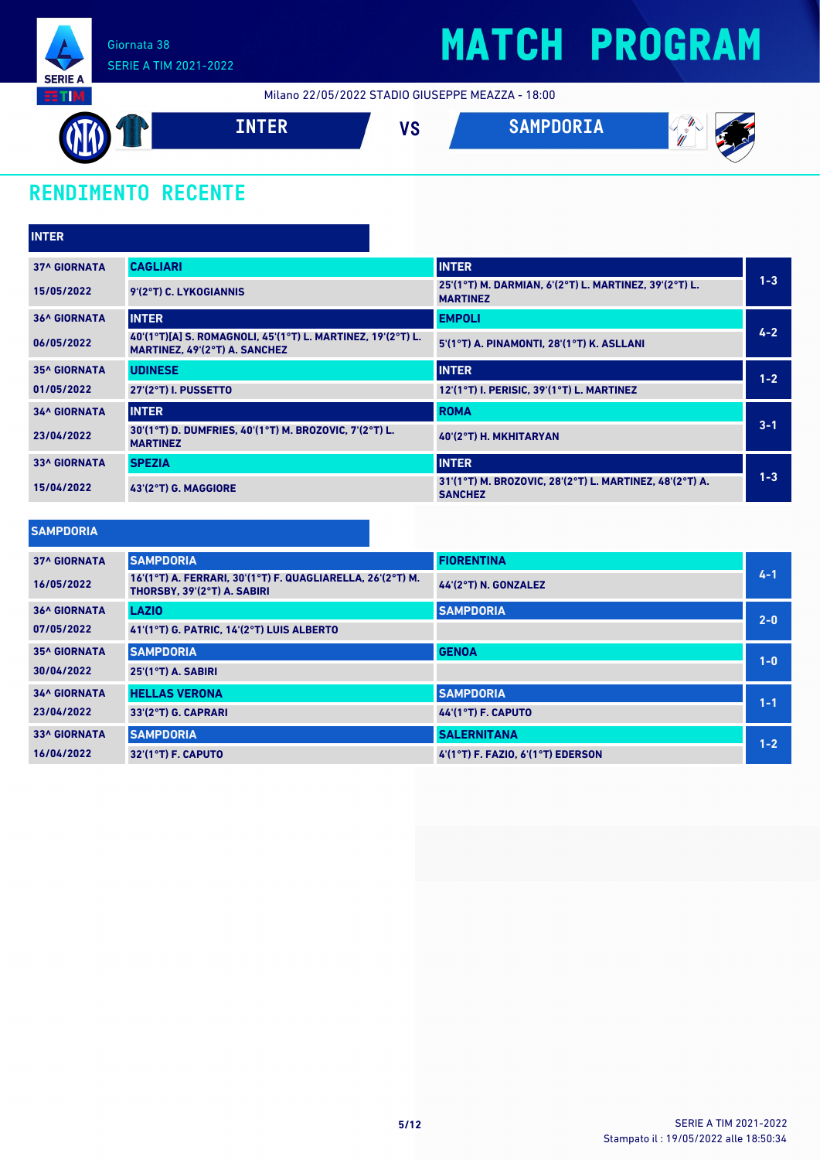

Milano 22/05/2022 STADIO GIUSEPPE MEAZZA - 18:00



### **RENDIMENTO RECENTE**

| <b>INTER</b>        |                                                                                              |                                                                           |         |  |  |
|---------------------|----------------------------------------------------------------------------------------------|---------------------------------------------------------------------------|---------|--|--|
| <b>37^ GIORNATA</b> | <b>CAGLIARI</b>                                                                              | <b>INTER</b>                                                              |         |  |  |
| 15/05/2022          | 9'(2°T) C. LYKOGIANNIS                                                                       | 25'(1°T) M. DARMIAN, 6'(2°T) L. MARTINEZ, 39'(2°T) L.<br><b>MARTINEZ</b>  | $1 - 3$ |  |  |
| <b>36^ GIORNATA</b> | <b>INTER</b>                                                                                 | <b>EMPOLI</b>                                                             |         |  |  |
| 06/05/2022          | 40'(1°T)[A] S. ROMAGNOLI, 45'(1°T) L. MARTINEZ, 19'(2°T) L.<br>MARTINEZ, 49'(2°T) A. SANCHEZ | 5'(1°T) A. PINAMONTI, 28'(1°T) K. ASLLANI                                 | $4 - 2$ |  |  |
| <b>35^ GIORNATA</b> | <b>UDINESE</b>                                                                               | <b>INTER</b>                                                              | $1 - 2$ |  |  |
| 01/05/2022          | 27'(2°T) I. PUSSETTO                                                                         | 12'(1°T) I. PERISIC, 39'(1°T) L. MARTINEZ                                 |         |  |  |
| <b>34^ GIORNATA</b> | <b>INTER</b>                                                                                 | <b>ROMA</b>                                                               |         |  |  |
| 23/04/2022          | 30'(1°T) D. DUMFRIES, 40'(1°T) M. BROZOVIC, 7'(2°T) L.<br><b>MARTINEZ</b>                    | 40'(2°T) H. MKHITARYAN                                                    | $3 - 1$ |  |  |
| <b>33^ GIORNATA</b> | <b>SPEZIA</b>                                                                                | <b>INTER</b>                                                              | $1 - 3$ |  |  |
| 15/04/2022          | 43'(2°T) G. MAGGIORE                                                                         | 31'(1°T) M. BROZOVIC, 28'(2°T) L. MARTINEZ, 48'(2°T) A.<br><b>SANCHEZ</b> |         |  |  |

#### **SAMPDORIA**

| <b>37^ GIORNATA</b> | <b>SAMPDORIA</b>                                                                          | <b>FIORENTINA</b>                     |         |
|---------------------|-------------------------------------------------------------------------------------------|---------------------------------------|---------|
| 16/05/2022          | 16'(1°T) A. FERRARI, 30'(1°T) F. QUAGLIARELLA, 26'(2°T) M.<br>THORSBY, 39'(2°T) A. SABIRI | 44'(2°T) N. GONZALEZ                  | $4 - 1$ |
| <b>36^ GIORNATA</b> | <b>LAZIO</b>                                                                              | <b>SAMPDORIA</b>                      | $2 - 0$ |
| 07/05/2022          | 41'(1°T) G. PATRIC. 14'(2°T) LUIS ALBERTO                                                 |                                       |         |
| <b>35^ GIORNATA</b> | <b>SAMPDORIA</b>                                                                          | <b>GENOA</b>                          | $1-0$   |
| 30/04/2022          | $25'(1°T)$ A. SABIRI                                                                      |                                       |         |
| <b>34^ GIORNATA</b> | <b>HELLAS VERONA</b>                                                                      | <b>SAMPDORIA</b>                      | $1 - 1$ |
| 23/04/2022          | 33'(2°T) G. CAPRARI                                                                       | <b>44'(1°T) F. CAPUTO</b>             |         |
| <b>33^ GIORNATA</b> | <b>SAMPDORIA</b>                                                                          | <b>SALERNITANA</b>                    | $1 - 2$ |
| 16/04/2022          | $32'(1°T)$ F. CAPUTO                                                                      | $4'(1°T)$ F. FAZIO. $6'(1°T)$ EDERSON |         |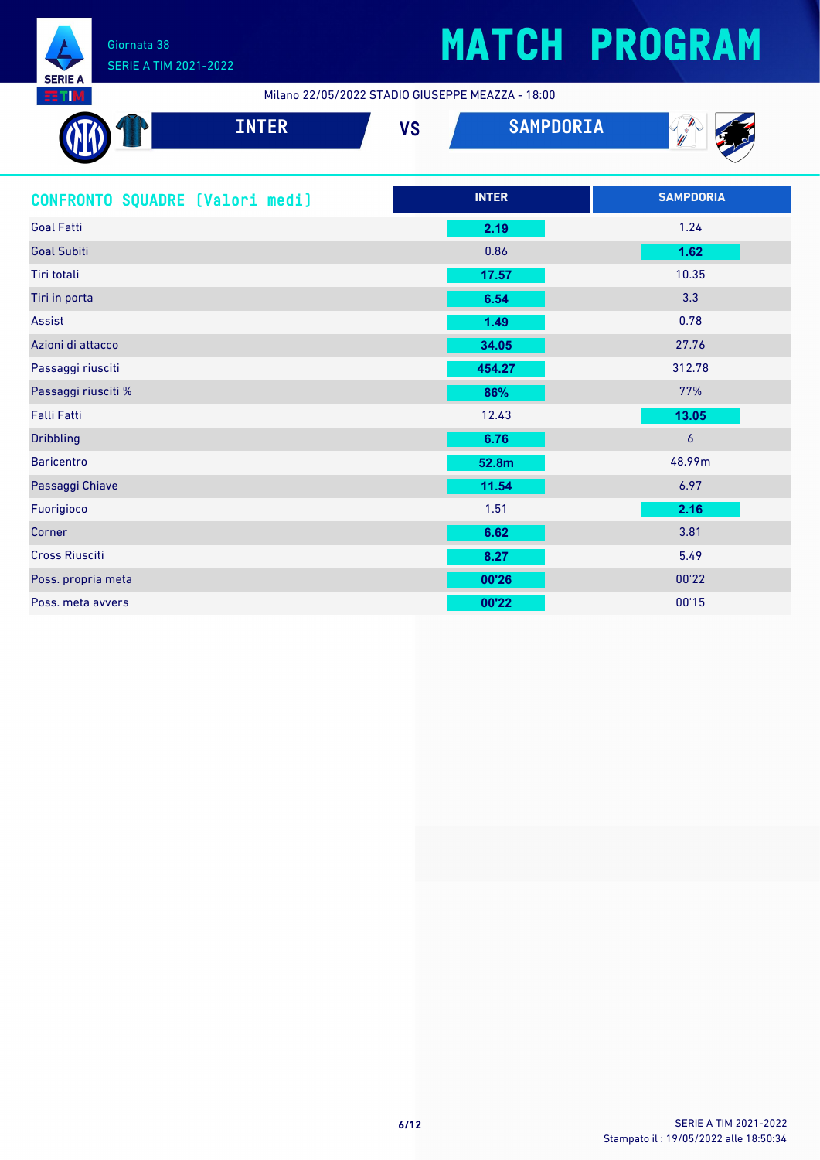

Milano 22/05/2022 STADIO GIUSEPPE MEAZZA - 18:00

| <b>INTER</b>                    | <b>VS</b> | <b>SAMPDORIA</b> |                  |
|---------------------------------|-----------|------------------|------------------|
| CONFRONTO SQUADRE [Valori medi] |           | <b>INTER</b>     | <b>SAMPDORIA</b> |
| <b>Goal Fatti</b>               |           | 2.19             | 1.24             |
| <b>Goal Subiti</b>              |           | 0.86             | 1.62             |
| Tiri totali                     |           | 17.57            | 10.35            |
| Tiri in porta                   |           | 6.54             | 3.3              |
| <b>Assist</b>                   |           | 1.49             | 0.78             |
| Azioni di attacco               |           | 34.05            | 27.76            |
| Passaggi riusciti               |           | 454.27           | 312.78           |
| Passaggi riusciti %             |           | 86%              | 77%              |
| <b>Falli Fatti</b>              |           | 12.43            | 13.05            |
| <b>Dribbling</b>                |           | 6.76             | $\boldsymbol{6}$ |
| <b>Baricentro</b>               |           | 52.8m            | 48.99m           |
| Passaggi Chiave                 |           | 11.54            | 6.97             |
| Fuorigioco                      |           | 1.51             | 2.16             |
| Corner                          |           | 6.62             | 3.81             |
| <b>Cross Riusciti</b>           |           | 8.27             | 5.49             |
| Poss. propria meta              |           | 00'26            | 00'22            |
| Poss. meta avvers               |           | 00'22            | 00'15            |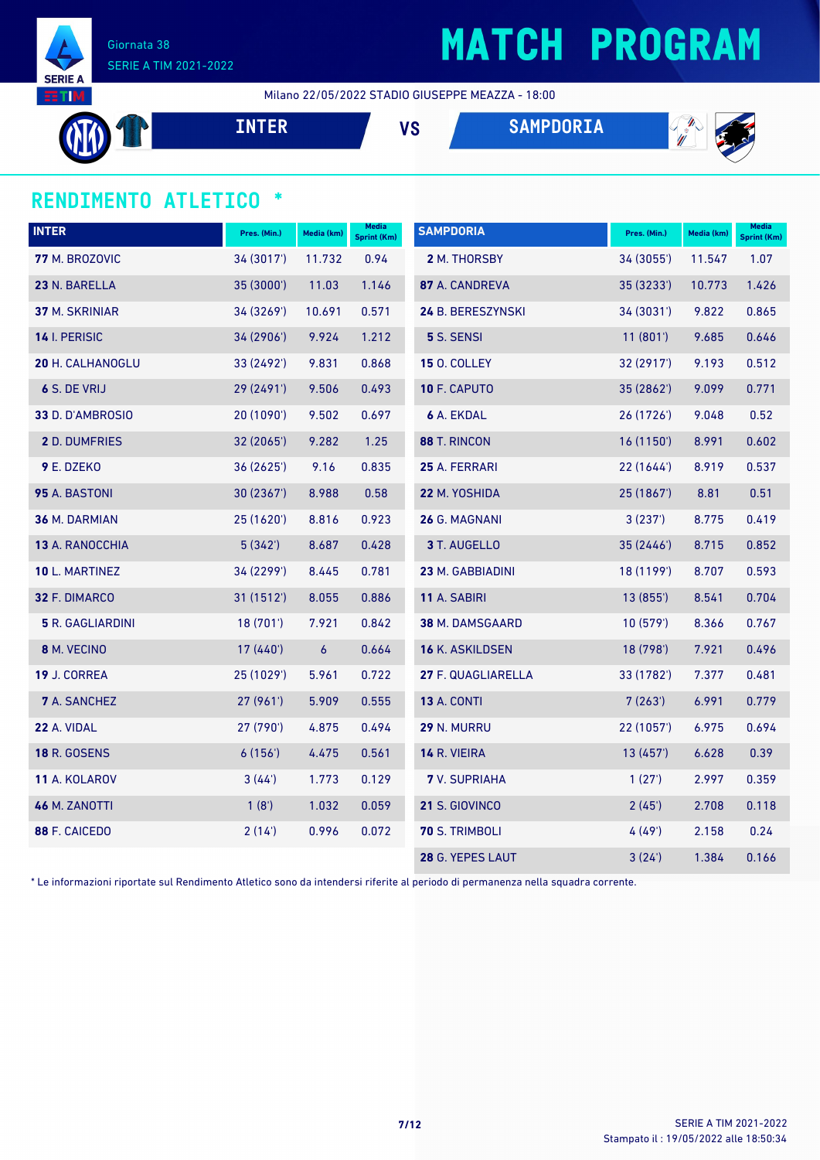

Milano 22/05/2022 STADIO GIUSEPPE MEAZZA - 18:00

**INTER VS SAMPDORIA**



### **RENDIMENTO ATLETICO \***

| <b>INTER</b>            | Pres. (Min.) | Media (km) | <b>Media</b><br><b>Sprint (Km)</b> | <b>SAMPDORIA</b>       | Pres. (Min.) | Media (km) | <b>Media</b><br>Sprint (Km) |
|-------------------------|--------------|------------|------------------------------------|------------------------|--------------|------------|-----------------------------|
| 77 M. BROZOVIC          | 34 (3017')   | 11.732     | 0.94                               | 2 M. THORSBY           | 34 (3055')   | 11.547     | 1.07                        |
| 23 N. BARELLA           | 35 (3000')   | 11.03      | 1.146                              | 87 A. CANDREVA         | 35 (3233')   | 10.773     | 1.426                       |
| 37 M. SKRINIAR          | 34 (3269')   | 10.691     | 0.571                              | 24 B. BERESZYNSKI      | 34 (3031')   | 9.822      | 0.865                       |
| 14 I. PERISIC           | 34 (2906')   | 9.924      | 1.212                              | 5 S. SENSI             | 11(801)      | 9.685      | 0.646                       |
| <b>20 H. CALHANOGLU</b> | 33 (2492')   | 9.831      | 0.868                              | <b>15 O. COLLEY</b>    | 32 (2917')   | 9.193      | 0.512                       |
| 6 S. DE VRIJ            | 29 (2491')   | 9.506      | 0.493                              | 10 F. CAPUTO           | 35 (2862')   | 9.099      | 0.771                       |
| 33 D. D'AMBROSIO        | 20(1090)     | 9.502      | 0.697                              | <b>6 A. EKDAL</b>      | 26(1726)     | 9.048      | 0.52                        |
| <b>2 D. DUMFRIES</b>    | 32 (2065')   | 9.282      | 1.25                               | 88 T. RINCON           | 16(1150)     | 8.991      | 0.602                       |
| 9 E. DZEKO              | 36 (2625')   | 9.16       | 0.835                              | 25 A. FERRARI          | 22(1644)     | 8.919      | 0.537                       |
| 95 A. BASTONI           | 30 (2367')   | 8.988      | 0.58                               | 22 M. YOSHIDA          | 25 (1867')   | 8.81       | 0.51                        |
| 36 M. DARMIAN           | 25 (1620')   | 8.816      | 0.923                              | 26 G. MAGNANI          | 3(237)       | 8.775      | 0.419                       |
| 13 A. RANOCCHIA         | 5(342)       | 8.687      | 0.428                              | 3 T. AUGELLO           | 35 (2446')   | 8.715      | 0.852                       |
| 10 L. MARTINEZ          | 34 (2299')   | 8.445      | 0.781                              | 23 M. GABBIADINI       | 18 (1199')   | 8.707      | 0.593                       |
| 32 F. DIMARCO           | 31 (1512')   | 8.055      | 0.886                              | 11 A. SABIRI           | 13 (855')    | 8.541      | 0.704                       |
| <b>5</b> R. GAGLIARDINI | 18(701)      | 7.921      | 0.842                              | <b>38 M. DAMSGAARD</b> | 10(579)      | 8.366      | 0.767                       |
| 8 M. VECINO             | 17 (440')    | $\epsilon$ | 0.664                              | 16 K. ASKILDSEN        | 18 (798')    | 7.921      | 0.496                       |
| 19 J. CORREA            | 25 (1029')   | 5.961      | 0.722                              | 27 F. QUAGLIARELLA     | 33 (1782')   | 7.377      | 0.481                       |
| <b>7</b> A. SANCHEZ     | 27 (961')    | 5.909      | 0.555                              | <b>13 A. CONTI</b>     | 7(263)       | 6.991      | 0.779                       |
| 22 A. VIDAL             | 27 (790')    | 4.875      | 0.494                              | 29 N. MURRU            | 22 (1057')   | 6.975      | 0.694                       |
| <b>18 R. GOSENS</b>     | 6(156)       | 4.475      | 0.561                              | 14 R. VIEIRA           | 13 (457')    | 6.628      | 0.39                        |
| 11 A. KOLAROV           | 3(44)        | 1.773      | 0.129                              | <b>7</b> V. SUPRIAHA   | 1(27)        | 2.997      | 0.359                       |
| 46 M. ZANOTTI           | 1(8')        | 1.032      | 0.059                              | 21 S. GIOVINCO         | 2(45)        | 2.708      | 0.118                       |
| 88 F. CAICEDO           | 2(14)        | 0.996      | 0.072                              | <b>70 S. TRIMBOLI</b>  | 4(49)        | 2.158      | 0.24                        |
|                         |              |            |                                    | 28 G. YEPES LAUT       | 3(24)        | 1.384      | 0.166                       |

\* Le informazioni riportate sul Rendimento Atletico sono da intendersi riferite al periodo di permanenza nella squadra corrente.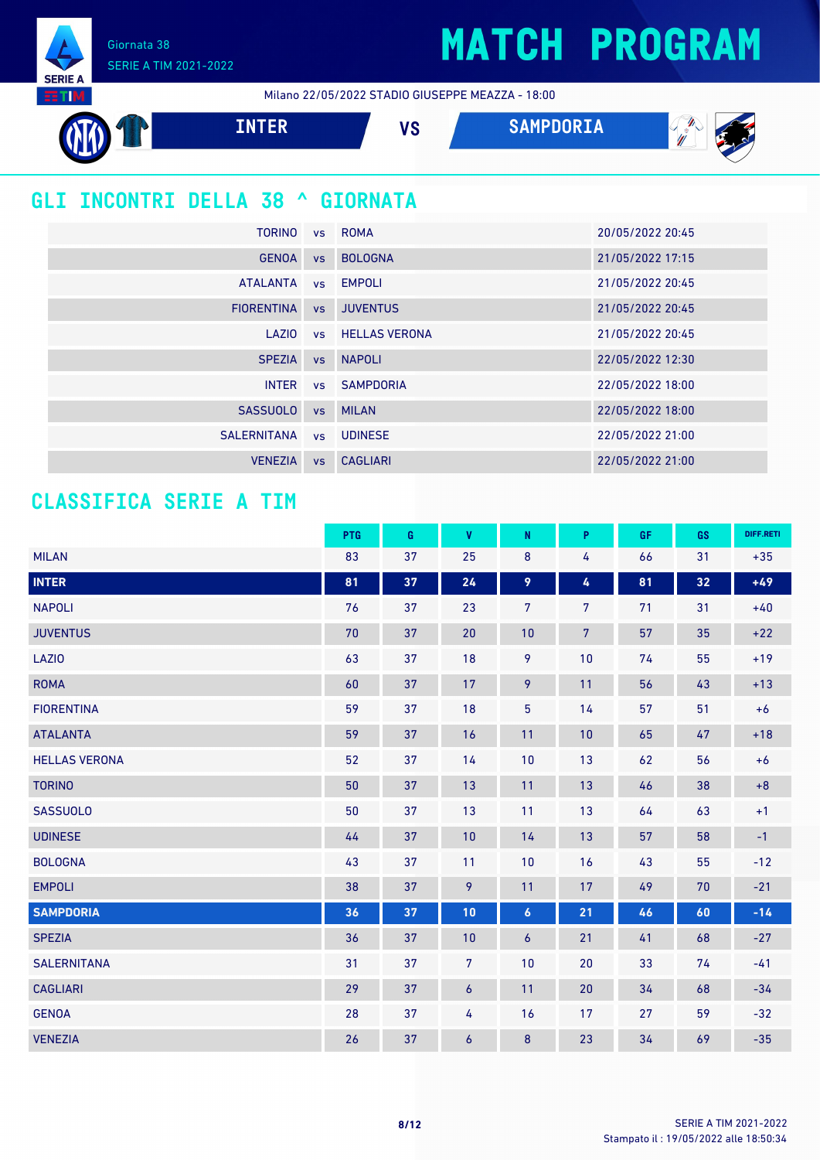Giornata 38 SERIE A TIM 2021-2022

**SERIE A TETTIM** 

Milano 22/05/2022 STADIO GIUSEPPE MEAZZA - 18:00



### **GLI INCONTRI DELLA 38 ^ GIORNATA**

| <b>TORINO</b>     |           | vs ROMA          | 20/05/2022 20:45 |
|-------------------|-----------|------------------|------------------|
| <b>GENOA</b>      | <b>VS</b> | <b>BOLOGNA</b>   | 21/05/2022 17:15 |
| <b>ATALANTA</b>   |           | vs EMPOLI        | 21/05/2022 20:45 |
| <b>FIORENTINA</b> | <b>VS</b> | <b>JUVENTUS</b>  | 21/05/2022 20:45 |
| LAZIO             |           | vs HELLAS VERONA | 21/05/2022 20:45 |
| <b>SPEZIA</b>     | VS        | <b>NAPOLI</b>    | 22/05/2022 12:30 |
| <b>INTER</b>      |           | vs SAMPDORIA     | 22/05/2022 18:00 |
| <b>SASSUOLO</b>   | VS        | <b>MILAN</b>     | 22/05/2022 18:00 |
| SALERNITANA       |           | vs UDINESE       | 22/05/2022 21:00 |
| <b>VENEZIA</b>    | <b>VS</b> | <b>CAGLIARI</b>  | 22/05/2022 21:00 |

### **CLASSIFICA SERIE A TIM**

|                      | PTG | G  | <b>V</b>         | ${\sf N}$        | P.             | <b>GF</b> | GS | DIFF.RETI |
|----------------------|-----|----|------------------|------------------|----------------|-----------|----|-----------|
| <b>MILAN</b>         | 83  | 37 | 25               | $\bf 8$          | 4              | 66        | 31 | $+35$     |
| <b>INTER</b>         | 81  | 37 | 24               | 9                | 4              | 81        | 32 | $+49$     |
| <b>NAPOLI</b>        | 76  | 37 | 23               | $\overline{7}$   | 7              | 71        | 31 | $+40$     |
| <b>JUVENTUS</b>      | 70  | 37 | 20               | 10               | $\overline{7}$ | 57        | 35 | $+22$     |
| LAZI0                | 63  | 37 | 18               | 9                | 10             | 74        | 55 | $+19$     |
| <b>ROMA</b>          | 60  | 37 | 17               | 9                | 11             | 56        | 43 | $+13$     |
| <b>FIORENTINA</b>    | 59  | 37 | 18               | $\overline{5}$   | 14             | 57        | 51 | $+6$      |
| <b>ATALANTA</b>      | 59  | 37 | 16               | 11               | 10             | 65        | 47 | $+18$     |
| <b>HELLAS VERONA</b> | 52  | 37 | 14               | 10               | 13             | 62        | 56 | $+6$      |
| <b>TORINO</b>        | 50  | 37 | 13               | 11               | 13             | 46        | 38 | $+8$      |
| <b>SASSUOLO</b>      | 50  | 37 | 13               | 11               | 13             | 64        | 63 | $+1$      |
| <b>UDINESE</b>       | 44  | 37 | 10               | 14               | 13             | 57        | 58 | $-1$      |
| <b>BOLOGNA</b>       | 43  | 37 | 11               | 10               | 16             | 43        | 55 | $-12$     |
| <b>EMPOLI</b>        | 38  | 37 | 9                | 11               | 17             | 49        | 70 | $-21$     |
| <b>SAMPDORIA</b>     | 36  | 37 | 10               | $\boldsymbol{6}$ | 21             | 46        | 60 | $-14$     |
| <b>SPEZIA</b>        | 36  | 37 | 10               | $\boldsymbol{6}$ | 21             | 41        | 68 | $-27$     |
| <b>SALERNITANA</b>   | 31  | 37 | $\overline{7}$   | 10               | 20             | 33        | 74 | $-41$     |
| <b>CAGLIARI</b>      | 29  | 37 | $\boldsymbol{6}$ | 11               | 20             | 34        | 68 | $-34$     |
| <b>GENOA</b>         | 28  | 37 | 4                | 16               | 17             | 27        | 59 | $-32$     |
| <b>VENEZIA</b>       | 26  | 37 | $\boldsymbol{6}$ | 8                | 23             | 34        | 69 | $-35$     |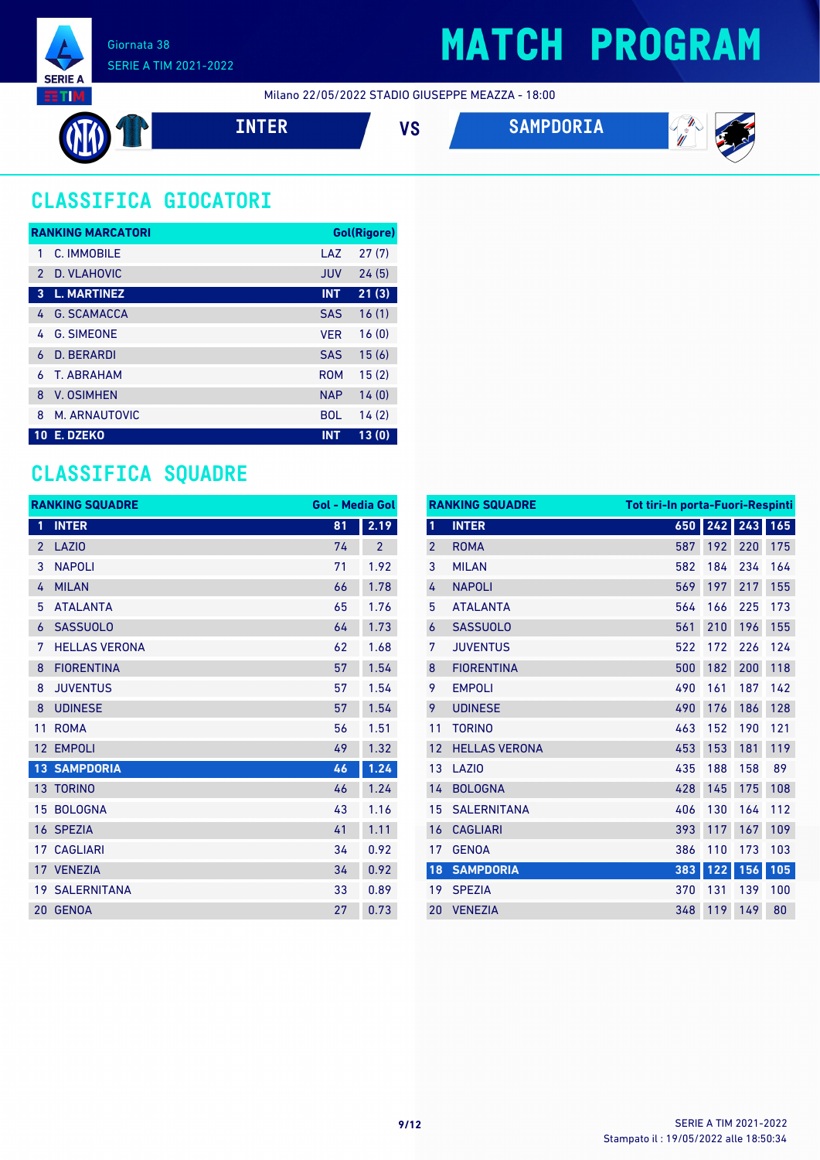

Milano 22/05/2022 STADIO GIUSEPPE MEAZZA - 18:00







 $\mathscr{L}_{\mathscr{U}}$ 

## **CLASSIFICA GIOCATORI**

|               | <b>RANKING MARCATORI</b> |            | Gol(Rigore) |
|---------------|--------------------------|------------|-------------|
| 1             | C. IMMOBILE              | LAZ        | 27(7)       |
| $\mathcal{P}$ | D. VLAHOVIC              | <b>JUV</b> | 24(5)       |
| 3             | <b>L. MARTINEZ</b>       | <b>INT</b> | 21(3)       |
| 4             | <b>G. SCAMACCA</b>       | <b>SAS</b> | 16(1)       |
| 4             | <b>G. SIMEONE</b>        | <b>VER</b> | 16(0)       |
| 6             | D. BERARDI               | <b>SAS</b> | 15(6)       |
| 6             | <b>T. ABRAHAM</b>        | <b>ROM</b> | 15(2)       |
| 8             | <b>V. OSIMHEN</b>        | <b>NAP</b> | 14(0)       |
| 8             | M. ARNAUTOVIC            | <b>BOL</b> | 14(2)       |
| <b>10</b>     | E. DZEKO                 | <b>INT</b> | 13(0)       |

### **CLASSIFICA SQUADRE**

|                 | <b>RANKING SQUADRE</b> | <b>Gol - Media Gol</b> |                |
|-----------------|------------------------|------------------------|----------------|
| 1               | <b>INTER</b>           | 81                     | 2.19           |
| $\overline{2}$  | <b>LAZIO</b>           | 74                     | $\overline{2}$ |
| 3               | <b>NAPOLI</b>          | 71                     | 1.92           |
| 4               | <b>MILAN</b>           | 66                     | 1.78           |
| 5               | <b>ATALANTA</b>        | 65                     | 1.76           |
| 6               | <b>SASSUOLO</b>        | 64                     | 1.73           |
| 7               | <b>HELLAS VERONA</b>   | 62                     | 1.68           |
| 8               | <b>FIORENTINA</b>      | 57                     | 1.54           |
| 8               | <b>JUVENTUS</b>        | 57                     | 1.54           |
| 8               | <b>UDINESE</b>         | 57                     | 1.54           |
| 11              | <b>ROMA</b>            | 56                     | 1.51           |
| 12              | <b>EMPOLI</b>          | 49                     | 1.32           |
|                 | <b>13 SAMPDORIA</b>    | 46                     | 1.24           |
|                 | <b>13 TORINO</b>       | 46                     | 1.24           |
| 15              | <b>BOLOGNA</b>         | 43                     | 1.16           |
|                 | 16 SPEZIA              | 41                     | 1.11           |
| 17 <sup>7</sup> | <b>CAGLIARI</b>        | 34                     | 0.92           |
|                 | 17 VENEZIA             | 34                     | 0.92           |
|                 | <b>19 SALERNITANA</b>  | 33                     | 0.89           |
| 20              | <b>GENOA</b>           | 27                     | 0.73           |

|                | <b>RANKING SQUADRE</b> | Tot tiri-In porta-Fuori-Respinti |     |     |     |
|----------------|------------------------|----------------------------------|-----|-----|-----|
| 1              | <b>INTER</b>           | 650                              | 242 | 243 | 165 |
| $\overline{2}$ | <b>ROMA</b>            | 587                              | 192 | 220 | 175 |
| 3              | <b>MILAN</b>           | 582                              | 184 | 234 | 164 |
| 4              | <b>NAPOLI</b>          | 569                              | 197 | 217 | 155 |
| 5              | <b>ATALANTA</b>        | 564                              | 166 | 225 | 173 |
| 6              | <b>SASSUOLO</b>        | 561                              | 210 | 196 | 155 |
| 7              | <b>JUVENTUS</b>        | 522                              | 172 | 226 | 124 |
| 8              | <b>FIORENTINA</b>      | 500                              | 182 | 200 | 118 |
| 9              | <b>EMPOLI</b>          | 490                              | 161 | 187 | 142 |
| 9              | <b>UDINESE</b>         | 490                              | 176 | 186 | 128 |
| 11             | <b>TORINO</b>          | 463                              | 152 | 190 | 121 |
| 12             | <b>HELLAS VERONA</b>   | 453                              | 153 | 181 | 119 |
| 13             | LAZI <sub>0</sub>      | 435                              | 188 | 158 | 89  |
| 14             | <b>BOLOGNA</b>         | 428                              | 145 | 175 | 108 |
| 15             | <b>SALERNITANA</b>     | 406                              | 130 | 164 | 112 |
| 16             | <b>CAGLIARI</b>        | 393                              | 117 | 167 | 109 |
| 17             | <b>GENOA</b>           | 386                              | 110 | 173 | 103 |
| 18             | <b>SAMPDORIA</b>       | 383                              | 122 | 156 | 105 |
| 19             | <b>SPEZIA</b>          | 370                              | 131 | 139 | 100 |
| 20             | <b>VENEZIA</b>         | 348                              | 119 | 149 | 80  |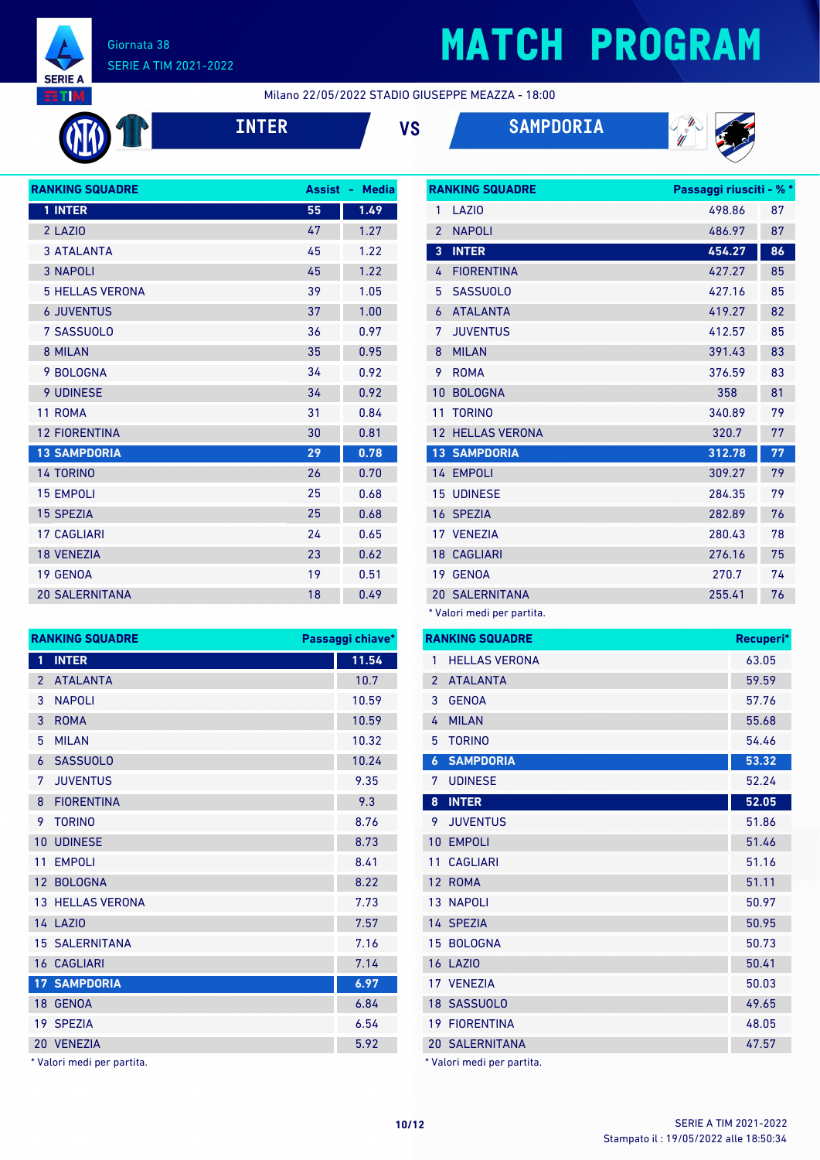

### Giornata 38 SERIE A TIM 2021-2022

# **MATCH PROGRAM**

Milano 22/05/2022 STADIO GIUSEPPE MEAZZA - 18:00







| <b>RANKING SQUADRE</b> | <b>Assist</b> | <b>Media</b><br>٠ |
|------------------------|---------------|-------------------|
| 1 INTER                | 55            | 1.49              |
| 2 LAZIO                | 47            | 1.27              |
| <b>3 ATALANTA</b>      | 45            | 1.22              |
| <b>3 NAPOLI</b>        | 45            | 1.22              |
| <b>5 HELLAS VERONA</b> | 39            | 1.05              |
| <b>6 JUVENTUS</b>      | 37            | 1.00              |
| 7 SASSUOLO             | 36            | 0.97              |
| 8 MILAN                | 35            | 0.95              |
| 9 BOLOGNA              | 34            | 0.92              |
| <b>9 UDINESE</b>       | 34            | 0.92              |
| 11 ROMA                | 31            | 0.84              |
| <b>12 FIORENTINA</b>   | 30            | 0.81              |
| <b>13 SAMPDORIA</b>    | 29            | 0.78              |
| <b>14 TORINO</b>       | 26            | 0.70              |
| <b>15 EMPOLI</b>       | 25            | 0.68              |
| <b>15 SPEZIA</b>       | 25            | 0.68              |
| <b>17 CAGLIARI</b>     | 24            | 0.65              |
| <b>18 VENEZIA</b>      | 23            | 0.62              |
| 19 GENOA               | 19            | 0.51              |
| <b>20 SALERNITANA</b>  | 18            | 0.49              |
|                        |               |                   |

|                | <b>RANKING SQUADRE</b> | Passaggi riusciti - % * |    |
|----------------|------------------------|-------------------------|----|
| 1              | LAZIO                  | 498.86                  | 87 |
| $\overline{2}$ | <b>NAPOLI</b>          | 486.97                  | 87 |
| 3              | <b>INTER</b>           | 454.27                  | 86 |
| 4              | <b>FIORENTINA</b>      | 427.27                  | 85 |
| 5              | <b>SASSUOLO</b>        | 427.16                  | 85 |
| 6              | <b>ATALANTA</b>        | 419.27                  | 82 |
| 7              | <b>JUVENTUS</b>        | 412.57                  | 85 |
| 8              | <b>MILAN</b>           | 391.43                  | 83 |
| 9              | <b>ROMA</b>            | 376.59                  | 83 |
| 10             | <b>BOLOGNA</b>         | 358                     | 81 |
| 11             | <b>TORINO</b>          | 340.89                  | 79 |
| 12             | <b>HELLAS VERONA</b>   | 320.7                   | 77 |
|                | <b>13 SAMPDORIA</b>    | 312.78                  | 77 |
|                | 14 EMPOLI              | 309.27                  | 79 |
| 15             | <b>UDINESE</b>         | 284.35                  | 79 |
|                | 16 SPEZIA              | 282.89                  | 76 |
|                | 17 VENEZIA             | 280.43                  | 78 |
|                | <b>18 CAGLIARI</b>     | 276.16                  | 75 |
|                | 19 GENOA               | 270.7                   | 74 |
|                | <b>20 SALERNITANA</b>  | 255.41                  | 76 |

\* Valori medi per partita.

| <b>RANKING SQUADRE</b> |                            | <b>RANKING SQUADRE</b><br>Passaggi chiave* |  |                            | Recuperi* |       |
|------------------------|----------------------------|--------------------------------------------|--|----------------------------|-----------|-------|
|                        | 1 INTER                    | 11.54                                      |  | <b>HELLAS VERONA</b>       |           | 63.05 |
|                        | 2 ATALANTA                 | 10.7                                       |  | 2 ATALANTA                 |           | 59.59 |
|                        | 3 NAPOLI                   | 10.59                                      |  | 3 GENOA                    |           | 57.76 |
|                        | 3 ROMA                     | 10.59                                      |  | 4 MILAN                    |           | 55.68 |
|                        | 5 MILAN                    | 10.32                                      |  | 5 TORINO                   |           | 54.46 |
|                        | 6 SASSUOLO                 | 10.24                                      |  | <b>6 SAMPDORIA</b>         |           | 53.32 |
|                        | 7 JUVENTUS                 | 9.35                                       |  | 7 UDINESE                  |           | 52.24 |
|                        | 8 FIORENTINA               | 9.3                                        |  | 8 INTER                    |           | 52.05 |
|                        | 9 TORINO                   | 8.76                                       |  | 9 JUVENTUS                 |           | 51.86 |
|                        | 10 UDINESE                 | 8.73                                       |  | 10 EMPOLI                  |           | 51.46 |
|                        | 11 EMPOLI                  | 8.41                                       |  | 11 CAGLIARI                |           | 51.16 |
|                        | 12 BOLOGNA                 | 8.22                                       |  | 12 ROMA                    |           | 51.11 |
|                        | <b>13 HELLAS VERONA</b>    | 7.73                                       |  | 13 NAPOLI                  |           | 50.97 |
|                        | <b>14 LAZIO</b>            | 7.57                                       |  | 14 SPEZIA                  |           | 50.95 |
|                        | <b>15 SALERNITANA</b>      | 7.16                                       |  | 15 BOLOGNA                 |           | 50.73 |
|                        | <b>16 CAGLIARI</b>         | 7.14                                       |  | <b>16 LAZIO</b>            |           | 50.41 |
|                        | <b>17 SAMPDORIA</b>        | 6.97                                       |  | 17 VENEZIA                 |           | 50.03 |
|                        | 18 GENOA                   | 6.84                                       |  | 18 SASSUOLO                |           | 49.65 |
|                        | 19 SPEZIA                  | 6.54                                       |  | <b>19 FIORENTINA</b>       |           | 48.05 |
|                        | 20 VENEZIA                 | 5.92                                       |  | <b>20 SALERNITANA</b>      |           | 47.57 |
|                        | * Valori medi per partita. |                                            |  | * Valori medi per partita. |           |       |

| 1              | <b>INTER</b>            | 11.54 |
|----------------|-------------------------|-------|
| $\overline{2}$ | <b>ATALANTA</b>         | 10.7  |
| 3              | <b>NAPOLI</b>           | 10.59 |
| 3              | <b>ROMA</b>             | 10.59 |
| 5              | <b>MILAN</b>            | 10.32 |
| 6              | <b>SASSUOLO</b>         | 10.24 |
| 7              | <b>JUVENTUS</b>         | 9.35  |
| 8              | <b>FIORENTINA</b>       | 9.3   |
| 9              | <b>TORINO</b>           | 8.76  |
| 10             | <b>UDINESE</b>          | 8.73  |
| 11             | <b>EMPOLI</b>           | 8.41  |
| 12             | <b>BOLOGNA</b>          | 8.22  |
|                | <b>13 HELLAS VERONA</b> | 7.73  |
|                | <b>14 LAZIO</b>         | 7.57  |
|                | <b>15 SALERNITANA</b>   | 7.16  |
|                | <b>16 CAGLIARI</b>      | 7.14  |
|                | <b>17 SAMPDORIA</b>     | 6.97  |
|                | 18 GENOA                | 6.84  |
|                | 19 SPEZIA               | 6.54  |
|                | 20 VENEZIA              | 5.92  |

\* Valori medi per partita.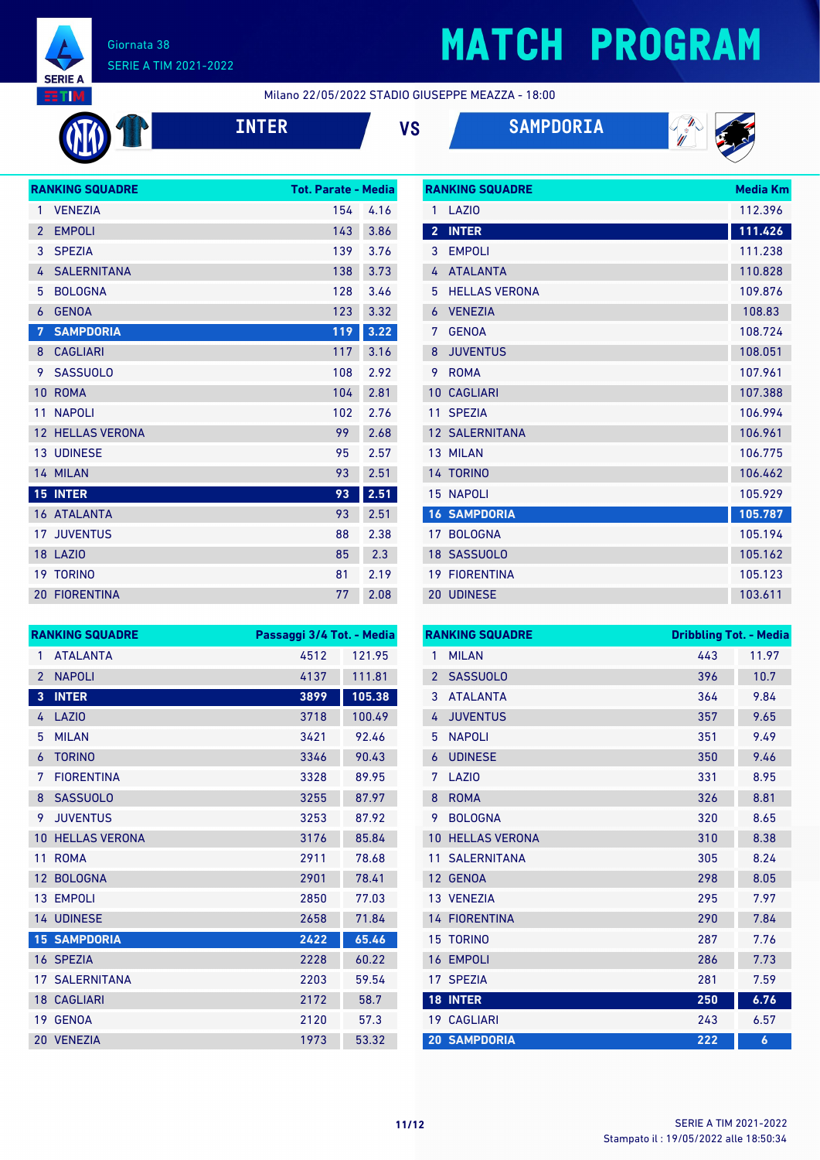

### Giornata 38 SERIE A TIM 2021-2022

# **MATCH PROGRAM**

Milano 22/05/2022 STADIO GIUSEPPE MEAZZA - 18:00

| <b>INT</b> |
|------------|
|            |

**INTER VS SAMPDORIA**



|                 | <b>RANKING SQUADRE</b> | <b>Tot. Parate - Media</b> |      |
|-----------------|------------------------|----------------------------|------|
| 1               | <b>VENEZIA</b>         | 154                        | 4.16 |
| $\overline{2}$  | <b>EMPOLI</b>          | 143                        | 3.86 |
| 3               | <b>SPEZIA</b>          | 139                        | 3.76 |
| 4               | <b>SALERNITANA</b>     | 138                        | 3.73 |
| 5               | <b>BOLOGNA</b>         | 128                        | 3.46 |
| 6               | <b>GENOA</b>           | 123                        | 3.32 |
| 7               | <b>SAMPDORIA</b>       | 119                        | 3.22 |
| 8               | <b>CAGLIARI</b>        | 117                        | 3.16 |
| 9               | <b>SASSUOLO</b>        | 108                        | 2.92 |
| 10              | <b>ROMA</b>            | 104                        | 2.81 |
| 11              | <b>NAPOLI</b>          | 102                        | 2.76 |
| 12 <sup>2</sup> | <b>HELLAS VERONA</b>   | 99                         | 2.68 |
|                 | <b>13 UDINESE</b>      | 95                         | 2.57 |
|                 | 14 MILAN               | 93                         | 2.51 |
| 15 <sub>1</sub> | <b>INTER</b>           | 93                         | 2.51 |
|                 | <b>16 ATALANTA</b>     | 93                         | 2.51 |
| 17 <sup>2</sup> | <b>JUVENTUS</b>        | 88                         | 2.38 |
|                 | 18 LAZIO               | 85                         | 2.3  |
| 19              | <b>TORINO</b>          | 81                         | 2.19 |
|                 | <b>20 FIORENTINA</b>   | 77                         | 2.08 |

| <b>RANKING SQUADRE</b>  |                       | Media Km |
|-------------------------|-----------------------|----------|
| 1                       | LAZI <sub>0</sub>     | 112.396  |
| $\overline{\mathbf{2}}$ | <b>INTER</b>          | 111.426  |
| 3                       | <b>EMPOLI</b>         | 111.238  |
| 4                       | <b>ATALANTA</b>       | 110.828  |
| 5                       | <b>HELLAS VERONA</b>  | 109.876  |
| 6                       | <b>VENEZIA</b>        | 108.83   |
| 7                       | <b>GENOA</b>          | 108.724  |
| 8                       | <b>JUVENTUS</b>       | 108.051  |
| 9                       | <b>ROMA</b>           | 107.961  |
| 10                      | <b>CAGLIARI</b>       | 107.388  |
| 11                      | <b>SPEZIA</b>         | 106.994  |
|                         | <b>12 SALERNITANA</b> | 106.961  |
|                         | 13 MILAN              | 106.775  |
|                         | 14 TORINO             | 106.462  |
|                         | <b>15 NAPOLI</b>      | 105.929  |
|                         | <b>16 SAMPDORIA</b>   | 105.787  |
| 17                      | <b>BOLOGNA</b>        | 105.194  |
|                         | 18 SASSUOLO           | 105.162  |
| 19                      | <b>FIORENTINA</b>     | 105.123  |
|                         | <b>20 UDINESE</b>     | 103.611  |

|                 | <b>RANKING SQUADRE</b> | Passaggi 3/4 Tot. - Media |        |
|-----------------|------------------------|---------------------------|--------|
| 1               | <b>ATALANTA</b>        | 4512                      | 121.95 |
| $\overline{2}$  | <b>NAPOLI</b>          | 4137                      | 111.81 |
| 3               | <b>INTER</b>           | 3899                      | 105.38 |
| 4               | LAZIO                  | 3718                      | 100.49 |
| 5               | <b>MILAN</b>           | 3421                      | 92.46  |
| 6               | <b>TORINO</b>          | 3346                      | 90.43  |
| 7               | <b>FIORENTINA</b>      | 3328                      | 89.95  |
| 8               | <b>SASSUOLO</b>        | 3255                      | 87.97  |
| 9               | <b>JUVENTUS</b>        | 3253                      | 87.92  |
| 10              | <b>HELLAS VERONA</b>   | 3176                      | 85.84  |
| 11              | <b>ROMA</b>            | 2911                      | 78.68  |
| 12 <sup>°</sup> | <b>BOLOGNA</b>         | 2901                      | 78.41  |
| 13 <sup>°</sup> | <b>EMPOLI</b>          | 2850                      | 77.03  |
|                 | 14 UDINESE             | 2658                      | 71.84  |
|                 | <b>15 SAMPDORIA</b>    | 2422                      | 65.46  |
|                 | 16 SPEZIA              | 2228                      | 60.22  |
|                 | <b>17 SALERNITANA</b>  | 2203                      | 59.54  |
|                 | <b>18 CAGLIARI</b>     | 2172                      | 58.7   |
| 19              | <b>GENOA</b>           | 2120                      | 57.3   |
|                 | 20 VENEZIA             | 1973                      | 53.32  |

|                | <b>RANKING SQUADRE</b> | <b>Dribbling Tot. - Media</b> |       |
|----------------|------------------------|-------------------------------|-------|
| 1              | <b>MILAN</b>           | 443                           | 11.97 |
| $\overline{2}$ | <b>SASSUOLO</b>        | 396                           | 10.7  |
| 3              | <b>ATALANTA</b>        | 364                           | 9.84  |
| 4              | <b>JUVENTUS</b>        | 357                           | 9.65  |
| 5              | <b>NAPOLI</b>          | 351                           | 9.49  |
| 6              | <b>UDINESE</b>         | 350                           | 9.46  |
| 7              | LAZI <sub>0</sub>      | 331                           | 8.95  |
| 8              | <b>ROMA</b>            | 326                           | 8.81  |
| 9              | <b>BOLOGNA</b>         | 320                           | 8.65  |
| 10             | <b>HELLAS VERONA</b>   | 310                           | 8.38  |
| 11             | <b>SALERNITANA</b>     | 305                           | 8.24  |
| 12             | <b>GENOA</b>           | 298                           | 8.05  |
|                | 13 VENEZIA             | 295                           | 7.97  |
|                | <b>14 FIORENTINA</b>   | 290                           | 7.84  |
| 15             | <b>TORINO</b>          | 287                           | 7.76  |
| 16             | <b>EMPOLI</b>          | 286                           | 7.73  |
| 17             | <b>SPEZIA</b>          | 281                           | 7.59  |
| 18             | <b>INTER</b>           | 250                           | 6.76  |
| 19             | <b>CAGLIARI</b>        | 243                           | 6.57  |
|                | <b>20 SAMPDORIA</b>    | 222                           | 6     |